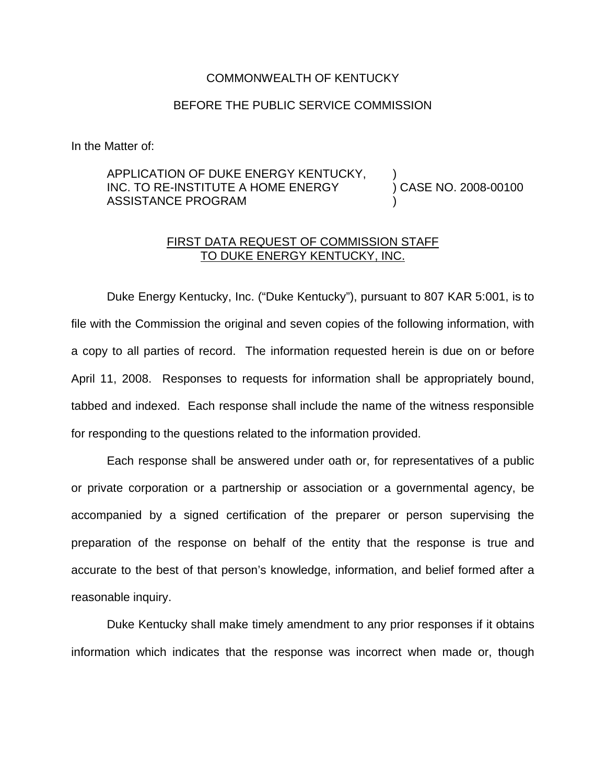## COMMONWEALTH OF KENTUCKY

## BEFORE THE PUBLIC SERVICE COMMISSION

In the Matter of:

## APPLICATION OF DUKE ENERGY KENTUCKY, INC. TO RE-INSTITUTE A HOME ENERGY ASSISTANCE PROGRAM ) ) CASE NO. 2008-00100 )

## FIRST DATA REQUEST OF COMMISSION STAFF TO DUKE ENERGY KENTUCKY, INC.

Duke Energy Kentucky, Inc. ("Duke Kentucky"), pursuant to 807 KAR 5:001, is to file with the Commission the original and seven copies of the following information, with a copy to all parties of record. The information requested herein is due on or before April 11, 2008. Responses to requests for information shall be appropriately bound, tabbed and indexed. Each response shall include the name of the witness responsible for responding to the questions related to the information provided.

Each response shall be answered under oath or, for representatives of a public or private corporation or a partnership or association or a governmental agency, be accompanied by a signed certification of the preparer or person supervising the preparation of the response on behalf of the entity that the response is true and accurate to the best of that person's knowledge, information, and belief formed after a reasonable inquiry.

Duke Kentucky shall make timely amendment to any prior responses if it obtains information which indicates that the response was incorrect when made or, though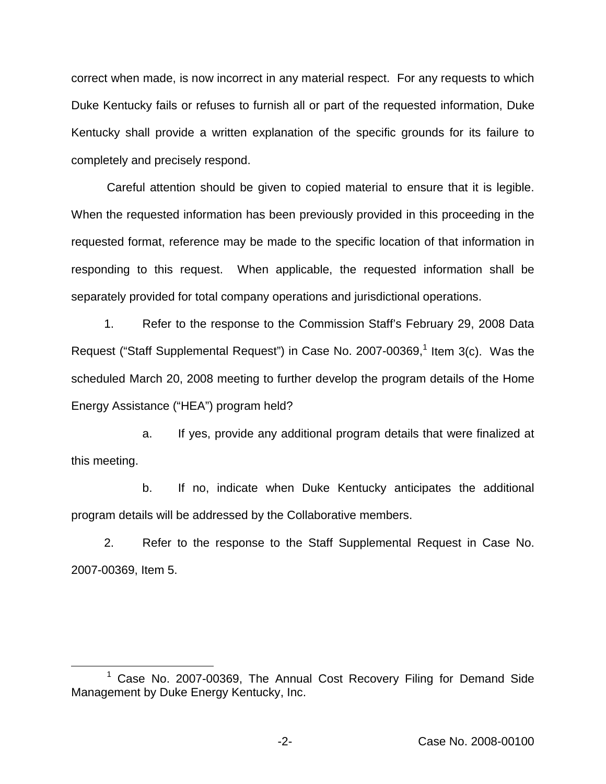correct when made, is now incorrect in any material respect. For any requests to which Duke Kentucky fails or refuses to furnish all or part of the requested information, Duke Kentucky shall provide a written explanation of the specific grounds for its failure to completely and precisely respond.

Careful attention should be given to copied material to ensure that it is legible. When the requested information has been previously provided in this proceeding in the requested format, reference may be made to the specific location of that information in responding to this request. When applicable, the requested information shall be separately provided for total company operations and jurisdictional operations.

1. Refer to the response to the Commission Staff's February 29, 2008 Data Request ("Staff Supplemental Request") in Case No. 2007-00369,<sup>1</sup> Item 3(c). Was the scheduled March 20, 2008 meeting to further develop the program details of the Home Energy Assistance ("HEA") program held?

a. If yes, provide any additional program details that were finalized at this meeting.

b. If no, indicate when Duke Kentucky anticipates the additional program details will be addressed by the Collaborative members.

2. Refer to the response to the Staff Supplemental Request in Case No. 2007-00369, Item 5.

<sup>&</sup>lt;sup>1</sup> Case No. 2007-00369, The Annual Cost Recovery Filing for Demand Side Management by Duke Energy Kentucky, Inc.